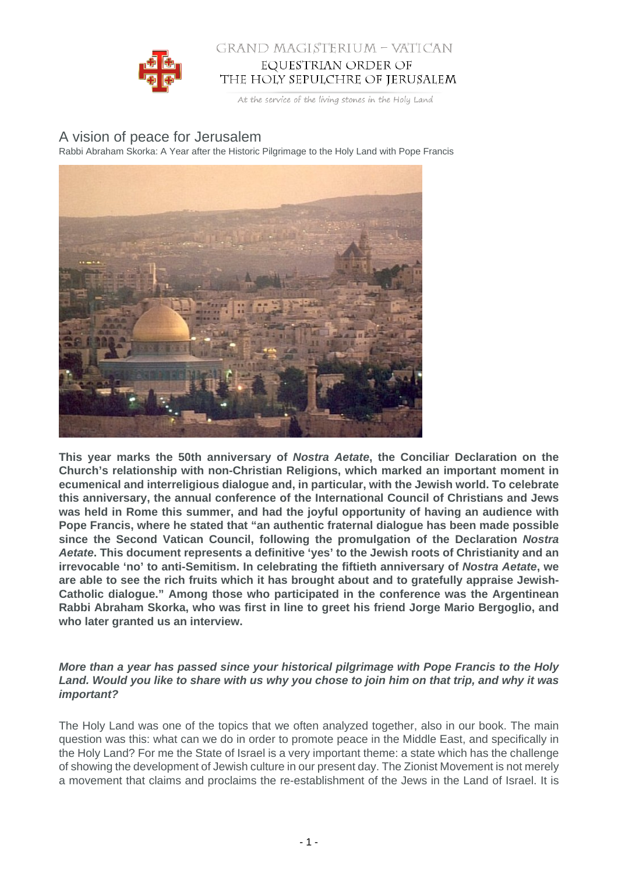

## GRAND MAGISTERIUM – VATICAN EQUESTRIAN ORDER OF THE HOLY SEPULCHRE OF JERUSALEM

At the service of the living stones in the Holy Land

# A vision of peace for Jerusalem

Rabbi Abraham Skorka: A Year after the Historic Pilgrimage to the Holy Land with Pope Francis



**This year marks the 50th anniversary of Nostra Aetate, the Conciliar Declaration on the Church's relationship with non-Christian Religions, which marked an important moment in ecumenical and interreligious dialogue and, in particular, with the Jewish world. To celebrate this anniversary, the annual conference of the International Council of Christians and Jews was held in Rome this summer, and had the joyful opportunity of having an audience with Pope Francis, where he stated that "an authentic fraternal dialogue has been made possible since the Second Vatican Council, following the promulgation of the Declaration Nostra Aetate. This document represents a definitive 'yes' to the Jewish roots of Christianity and an irrevocable 'no' to anti-Semitism. In celebrating the fiftieth anniversary of Nostra Aetate, we are able to see the rich fruits which it has brought about and to gratefully appraise Jewish-Catholic dialogue." Among those who participated in the conference was the Argentinean Rabbi Abraham Skorka, who was first in line to greet his friend Jorge Mario Bergoglio, and who later granted us an interview.**

#### **More than a year has passed since your historical pilgrimage with Pope Francis to the Holy Land. Would you like to share with us why you chose to join him on that trip, and why it was important?**

The Holy Land was one of the topics that we often analyzed together, also in our book. The main question was this: what can we do in order to promote peace in the Middle East, and specifically in the Holy Land? For me the State of Israel is a very important theme: a state which has the challenge of showing the development of Jewish culture in our present day. The Zionist Movement is not merely a movement that claims and proclaims the re-establishment of the Jews in the Land of Israel. It is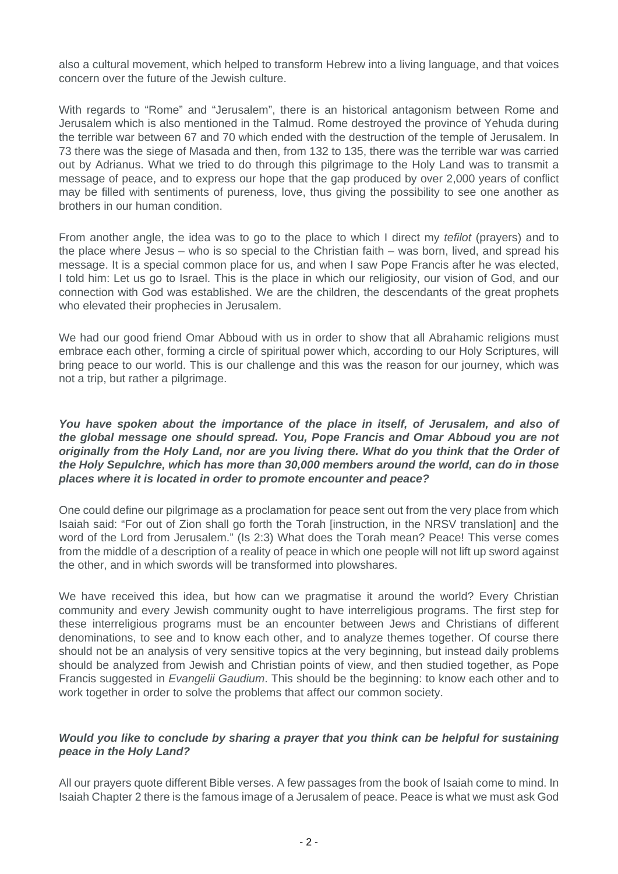also a cultural movement, which helped to transform Hebrew into a living language, and that voices concern over the future of the Jewish culture.

With regards to "Rome" and "Jerusalem", there is an historical antagonism between Rome and Jerusalem which is also mentioned in the Talmud. Rome destroyed the province of Yehuda during the terrible war between 67 and 70 which ended with the destruction of the temple of Jerusalem. In 73 there was the siege of Masada and then, from 132 to 135, there was the terrible war was carried out by Adrianus. What we tried to do through this pilgrimage to the Holy Land was to transmit a message of peace, and to express our hope that the gap produced by over 2,000 years of conflict may be filled with sentiments of pureness, love, thus giving the possibility to see one another as brothers in our human condition.

From another angle, the idea was to go to the place to which I direct my tefilot (prayers) and to the place where Jesus – who is so special to the Christian faith – was born, lived, and spread his message. It is a special common place for us, and when I saw Pope Francis after he was elected, I told him: Let us go to Israel. This is the place in which our religiosity, our vision of God, and our connection with God was established. We are the children, the descendants of the great prophets who elevated their prophecies in Jerusalem.

We had our good friend Omar Abboud with us in order to show that all Abrahamic religions must embrace each other, forming a circle of spiritual power which, according to our Holy Scriptures, will bring peace to our world. This is our challenge and this was the reason for our journey, which was not a trip, but rather a pilgrimage.

**You have spoken about the importance of the place in itself, of Jerusalem, and also of the global message one should spread. You, Pope Francis and Omar Abboud you are not originally from the Holy Land, nor are you living there. What do you think that the Order of the Holy Sepulchre, which has more than 30,000 members around the world, can do in those places where it is located in order to promote encounter and peace?**

One could define our pilgrimage as a proclamation for peace sent out from the very place from which Isaiah said: "For out of Zion shall go forth the Torah [instruction, in the NRSV translation] and the word of the Lord from Jerusalem." (Is 2:3) What does the Torah mean? Peace! This verse comes from the middle of a description of a reality of peace in which one people will not lift up sword against the other, and in which swords will be transformed into plowshares.

We have received this idea, but how can we pragmatise it around the world? Every Christian community and every Jewish community ought to have interreligious programs. The first step for these interreligious programs must be an encounter between Jews and Christians of different denominations, to see and to know each other, and to analyze themes together. Of course there should not be an analysis of very sensitive topics at the very beginning, but instead daily problems should be analyzed from Jewish and Christian points of view, and then studied together, as Pope Francis suggested in Evangelii Gaudium. This should be the beginning: to know each other and to work together in order to solve the problems that affect our common society.

#### **Would you like to conclude by sharing a prayer that you think can be helpful for sustaining peace in the Holy Land?**

All our prayers quote different Bible verses. A few passages from the book of Isaiah come to mind. In Isaiah Chapter 2 there is the famous image of a Jerusalem of peace. Peace is what we must ask God